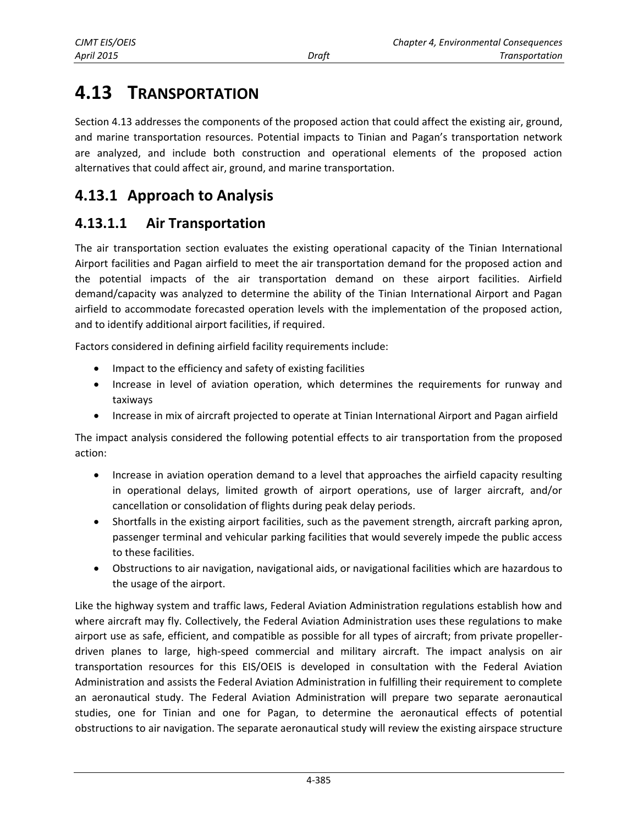# **4.13 TRANSPORTATION**

Section 4.13 addresses the components of the proposed action that could affect the existing air, ground, and marine transportation resources. Potential impacts to Tinian and Pagan's transportation network are analyzed, and include both construction and operational elements of the proposed action alternatives that could affect air, ground, and marine transportation.

# **4.13.1 Approach to Analysis**

# **4.13.1.1 Air Transportation**

The air transportation section evaluates the existing operational capacity of the Tinian International Airport facilities and Pagan airfield to meet the air transportation demand for the proposed action and the potential impacts of the air transportation demand on these airport facilities. Airfield demand/capacity was analyzed to determine the ability of the Tinian International Airport and Pagan airfield to accommodate forecasted operation levels with the implementation of the proposed action, and to identify additional airport facilities, if required.

Factors considered in defining airfield facility requirements include:

- Impact to the efficiency and safety of existing facilities
- Increase in level of aviation operation, which determines the requirements for runway and taxiways
- Increase in mix of aircraft projected to operate at Tinian International Airport and Pagan airfield

The impact analysis considered the following potential effects to air transportation from the proposed action:

- Increase in aviation operation demand to a level that approaches the airfield capacity resulting in operational delays, limited growth of airport operations, use of larger aircraft, and/or cancellation or consolidation of flights during peak delay periods.
- Shortfalls in the existing airport facilities, such as the pavement strength, aircraft parking apron, passenger terminal and vehicular parking facilities that would severely impede the public access to these facilities.
- Obstructions to air navigation, navigational aids, or navigational facilities which are hazardous to the usage of the airport.

Like the highway system and traffic laws, Federal Aviation Administration regulations establish how and where aircraft may fly. Collectively, the Federal Aviation Administration uses these regulations to make airport use as safe, efficient, and compatible as possible for all types of aircraft; from private propellerdriven planes to large, high-speed commercial and military aircraft. The impact analysis on air transportation resources for this EIS/OEIS is developed in consultation with the Federal Aviation Administration and assists the Federal Aviation Administration in fulfilling their requirement to complete an aeronautical study. The Federal Aviation Administration will prepare two separate aeronautical studies, one for Tinian and one for Pagan, to determine the aeronautical effects of potential obstructions to air navigation. The separate aeronautical study will review the existing airspace structure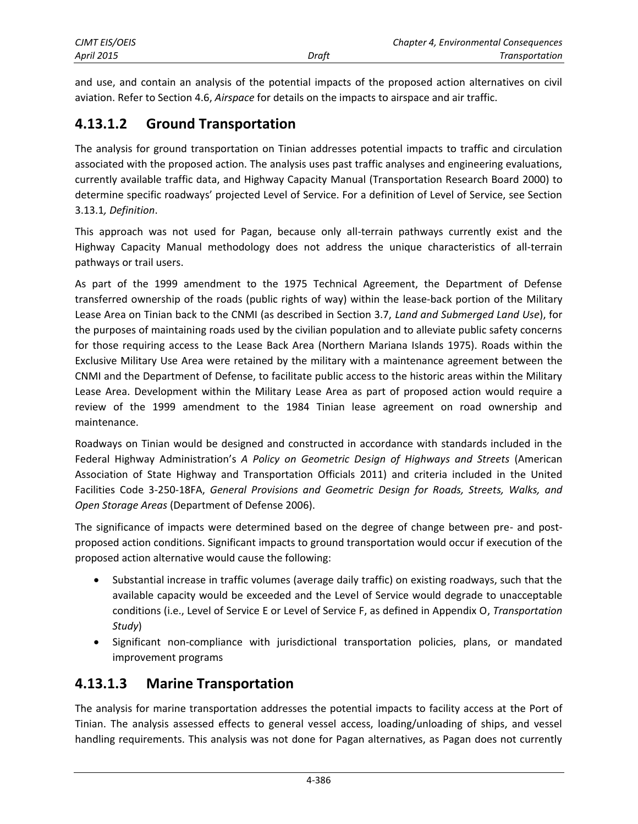| CJMT EIS/OEIS     |       | <b>Chapter 4, Environmental Consequences</b> |
|-------------------|-------|----------------------------------------------|
| <b>April 2015</b> | Draft | <b>Transportation</b>                        |

and use, and contain an analysis of the potential impacts of the proposed action alternatives on civil aviation. Refer to Section 4.6, *Airspace* for details on the impacts to airspace and air traffic.

# **4.13.1.2 Ground Transportation**

The analysis for ground transportation on Tinian addresses potential impacts to traffic and circulation associated with the proposed action. The analysis uses past traffic analyses and engineering evaluations, currently available traffic data, and Highway Capacity Manual (Transportation Research Board 2000) to determine specific roadways' projected Level of Service. For a definition of Level of Service, see Section 3.13.1*, Definition*.

This approach was not used for Pagan, because only all-terrain pathways currently exist and the Highway Capacity Manual methodology does not address the unique characteristics of all-terrain pathways or trail users.

As part of the 1999 amendment to the 1975 Technical Agreement, the Department of Defense transferred ownership of the roads (public rights of way) within the lease-back portion of the Military Lease Area on Tinian back to the CNMI (as described in Section 3.7, *Land and Submerged Land Use*), for the purposes of maintaining roads used by the civilian population and to alleviate public safety concerns for those requiring access to the Lease Back Area (Northern Mariana Islands 1975). Roads within the Exclusive Military Use Area were retained by the military with a maintenance agreement between the CNMI and the Department of Defense, to facilitate public access to the historic areas within the Military Lease Area. Development within the Military Lease Area as part of proposed action would require a review of the 1999 amendment to the 1984 Tinian lease agreement on road ownership and maintenance.

Roadways on Tinian would be designed and constructed in accordance with standards included in the Federal Highway Administration's *A Policy on Geometric Design of Highways and Streets* (American Association of State Highway and Transportation Officials 2011) and criteria included in the United Facilities Code 3-250-18FA, *General Provisions and Geometric Design for Roads, Streets, Walks, and Open Storage Areas* (Department of Defense 2006).

The significance of impacts were determined based on the degree of change between pre- and postproposed action conditions. Significant impacts to ground transportation would occur if execution of the proposed action alternative would cause the following:

- Substantial increase in traffic volumes (average daily traffic) on existing roadways, such that the available capacity would be exceeded and the Level of Service would degrade to unacceptable conditions (i.e., Level of Service E or Level of Service F, as defined in Appendix O, *Transportation Study*)
- Significant non-compliance with jurisdictional transportation policies, plans, or mandated improvement programs

# **4.13.1.3 Marine Transportation**

The analysis for marine transportation addresses the potential impacts to facility access at the Port of Tinian. The analysis assessed effects to general vessel access, loading/unloading of ships, and vessel handling requirements. This analysis was not done for Pagan alternatives, as Pagan does not currently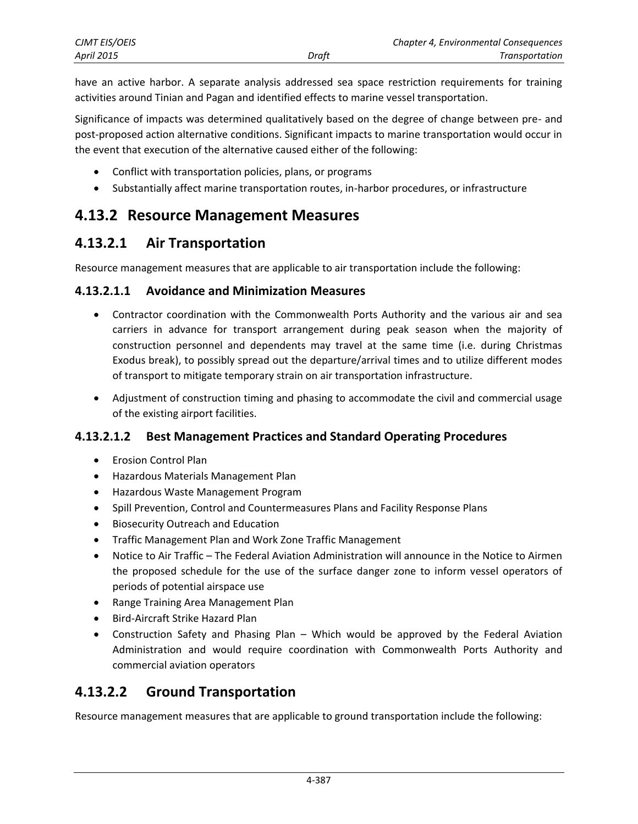| <b>CJMT EIS/OEIS</b> |       | Chapter 4, Environmental Consequences |
|----------------------|-------|---------------------------------------|
| April 2015           | Draft | Transportation                        |

have an active harbor. A separate analysis addressed sea space restriction requirements for training activities around Tinian and Pagan and identified effects to marine vessel transportation.

Significance of impacts was determined qualitatively based on the degree of change between pre- and post-proposed action alternative conditions. Significant impacts to marine transportation would occur in the event that execution of the alternative caused either of the following:

- Conflict with transportation policies, plans, or programs
- Substantially affect marine transportation routes, in-harbor procedures, or infrastructure

# **4.13.2 Resource Management Measures**

## **4.13.2.1 Air Transportation**

Resource management measures that are applicable to air transportation include the following:

#### **4.13.2.1.1 Avoidance and Minimization Measures**

- Contractor coordination with the Commonwealth Ports Authority and the various air and sea carriers in advance for transport arrangement during peak season when the majority of construction personnel and dependents may travel at the same time (i.e. during Christmas Exodus break), to possibly spread out the departure/arrival times and to utilize different modes of transport to mitigate temporary strain on air transportation infrastructure.
- Adjustment of construction timing and phasing to accommodate the civil and commercial usage of the existing airport facilities.

#### **4.13.2.1.2 Best Management Practices and Standard Operating Procedures**

- Erosion Control Plan
- Hazardous Materials Management Plan
- Hazardous Waste Management Program
- Spill Prevention, Control and Countermeasures Plans and Facility Response Plans
- Biosecurity Outreach and Education
- Traffic Management Plan and Work Zone Traffic Management
- Notice to Air Traffic The Federal Aviation Administration will announce in the Notice to Airmen the proposed schedule for the use of the surface danger zone to inform vessel operators of periods of potential airspace use
- Range Training Area Management Plan
- Bird-Aircraft Strike Hazard Plan
- Construction Safety and Phasing Plan Which would be approved by the Federal Aviation Administration and would require coordination with Commonwealth Ports Authority and commercial aviation operators

# **4.13.2.2 Ground Transportation**

Resource management measures that are applicable to ground transportation include the following: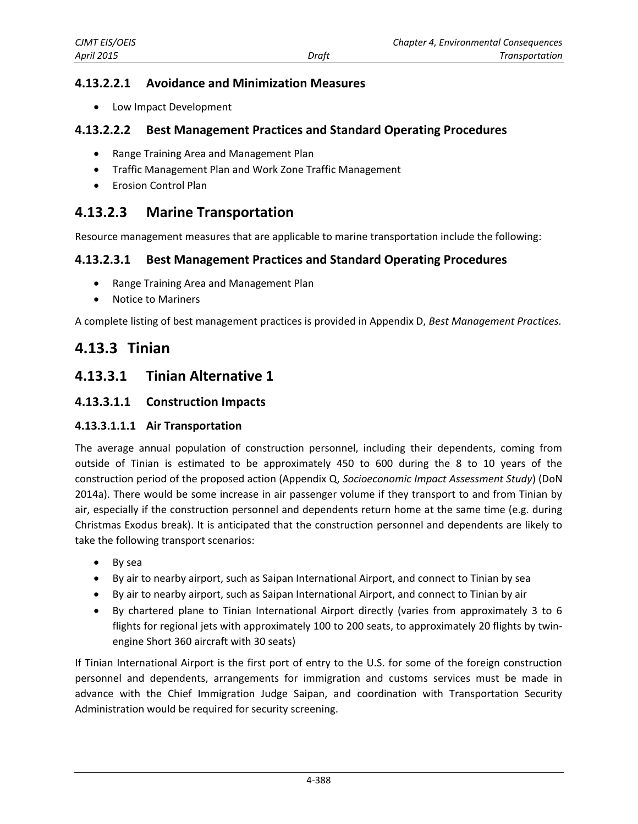## **4.13.2.2.1 Avoidance and Minimization Measures**

Low Impact Development

#### **4.13.2.2.2 Best Management Practices and Standard Operating Procedures**

- Range Training Area and Management Plan
- Traffic Management Plan and Work Zone Traffic Management
- **•** Erosion Control Plan

# **4.13.2.3 Marine Transportation**

Resource management measures that are applicable to marine transportation include the following:

#### **4.13.2.3.1 Best Management Practices and Standard Operating Procedures**

- Range Training Area and Management Plan
- Notice to Mariners

A complete listing of best management practices is provided in Appendix D, *Best Management Practices.*

# **4.13.3 Tinian**

## <span id="page-3-0"></span>**4.13.3.1 Tinian Alternative 1**

#### **4.13.3.1.1 Construction Impacts**

#### **4.13.3.1.1.1 Air Transportation**

The average annual population of construction personnel, including their dependents, coming from outside of Tinian is estimated to be approximately 450 to 600 during the 8 to 10 years of the construction period of the proposed action (Appendix Q, *Socioeconomic Impact Assessment Study*) (DoN 2014a). There would be some increase in air passenger volume if they transport to and from Tinian by air, especially if the construction personnel and dependents return home at the same time (e.g. during Christmas Exodus break). It is anticipated that the construction personnel and dependents are likely to take the following transport scenarios:

- By sea
- By air to nearby airport, such as Saipan International Airport, and connect to Tinian by sea
- By air to nearby airport, such as Saipan International Airport, and connect to Tinian by air
- By chartered plane to Tinian International Airport directly (varies from approximately 3 to 6 flights for regional jets with approximately 100 to 200 seats, to approximately 20 flights by twinengine Short 360 aircraft with 30 seats)

If Tinian International Airport is the first port of entry to the U.S. for some of the foreign construction personnel and dependents, arrangements for immigration and customs services must be made in advance with the Chief Immigration Judge Saipan, and coordination with Transportation Security Administration would be required for security screening.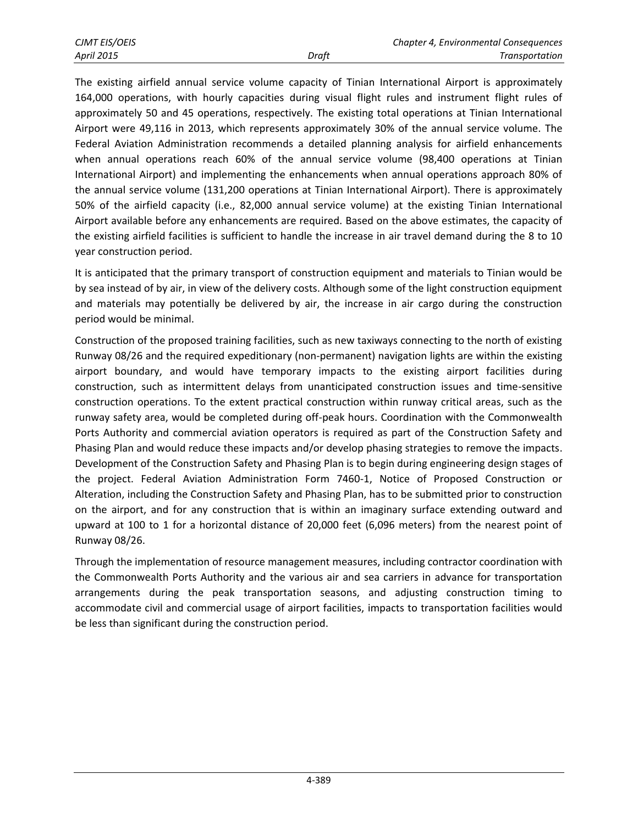The existing airfield annual service volume capacity of Tinian International Airport is approximately 164,000 operations, with hourly capacities during visual flight rules and instrument flight rules of approximately 50 and 45 operations, respectively. The existing total operations at Tinian International Airport were 49,116 in 2013, which represents approximately 30% of the annual service volume. The Federal Aviation Administration recommends a detailed planning analysis for airfield enhancements when annual operations reach 60% of the annual service volume (98,400 operations at Tinian International Airport) and implementing the enhancements when annual operations approach 80% of the annual service volume (131,200 operations at Tinian International Airport). There is approximately 50% of the airfield capacity (i.e., 82,000 annual service volume) at the existing Tinian International Airport available before any enhancements are required. Based on the above estimates, the capacity of the existing airfield facilities is sufficient to handle the increase in air travel demand during the 8 to 10 year construction period.

It is anticipated that the primary transport of construction equipment and materials to Tinian would be by sea instead of by air, in view of the delivery costs. Although some of the light construction equipment and materials may potentially be delivered by air, the increase in air cargo during the construction period would be minimal.

Construction of the proposed training facilities, such as new taxiways connecting to the north of existing Runway 08/26 and the required expeditionary (non-permanent) navigation lights are within the existing airport boundary, and would have temporary impacts to the existing airport facilities during construction, such as intermittent delays from unanticipated construction issues and time-sensitive construction operations. To the extent practical construction within runway critical areas, such as the runway safety area, would be completed during off-peak hours. Coordination with the Commonwealth Ports Authority and commercial aviation operators is required as part of the Construction Safety and Phasing Plan and would reduce these impacts and/or develop phasing strategies to remove the impacts. Development of the Construction Safety and Phasing Plan is to begin during engineering design stages of the project. Federal Aviation Administration Form 7460-1, Notice of Proposed Construction or Alteration, including the Construction Safety and Phasing Plan, has to be submitted prior to construction on the airport, and for any construction that is within an imaginary surface extending outward and upward at 100 to 1 for a horizontal distance of 20,000 feet (6,096 meters) from the nearest point of Runway 08/26.

Through the implementation of resource management measures, including contractor coordination with the Commonwealth Ports Authority and the various air and sea carriers in advance for transportation arrangements during the peak transportation seasons, and adjusting construction timing to accommodate civil and commercial usage of airport facilities, impacts to transportation facilities would be less than significant during the construction period.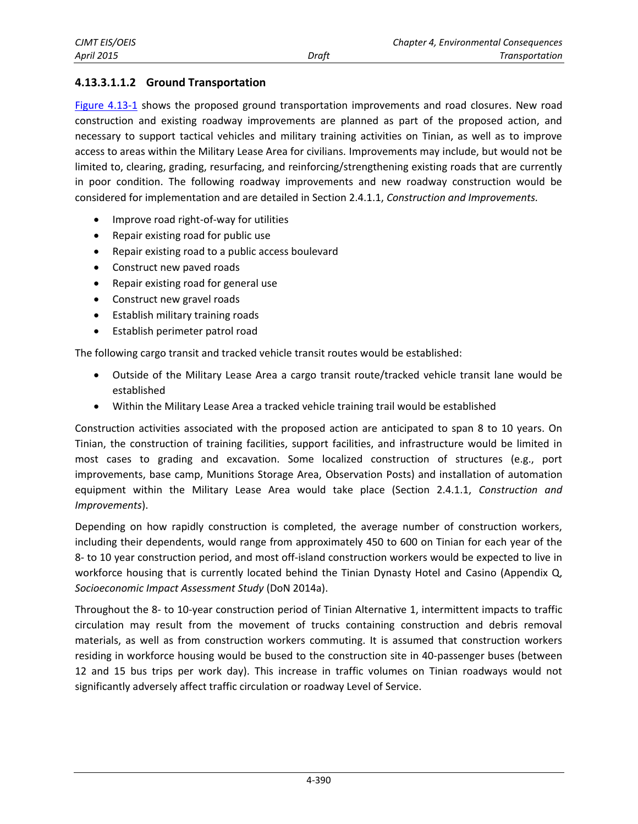#### **4.13.3.1.1.2 Ground Transportation**

[Figure 4.13-1](#page-6-0) shows the proposed ground transportation improvements and road closures. New road construction and existing roadway improvements are planned as part of the proposed action, and necessary to support tactical vehicles and military training activities on Tinian, as well as to improve access to areas within the Military Lease Area for civilians. Improvements may include, but would not be limited to, clearing, grading, resurfacing, and reinforcing/strengthening existing roads that are currently in poor condition. The following roadway improvements and new roadway construction would be considered for implementation and are detailed in Section 2.4.1.1, *Construction and Improvements.*

- Improve road right-of-way for utilities
- Repair existing road for public use
- Repair existing road to a public access boulevard
- Construct new paved roads
- Repair existing road for general use
- Construct new gravel roads
- Establish military training roads
- Establish perimeter patrol road

The following cargo transit and tracked vehicle transit routes would be established:

- Outside of the Military Lease Area a cargo transit route/tracked vehicle transit lane would be established
- Within the Military Lease Area a tracked vehicle training trail would be established

Construction activities associated with the proposed action are anticipated to span 8 to 10 years. On Tinian, the construction of training facilities, support facilities, and infrastructure would be limited in most cases to grading and excavation. Some localized construction of structures (e.g., port improvements, base camp, Munitions Storage Area, Observation Posts) and installation of automation equipment within the Military Lease Area would take place (Section 2.4.1.1, *Construction and Improvements*).

Depending on how rapidly construction is completed, the average number of construction workers, including their dependents, would range from approximately 450 to 600 on Tinian for each year of the 8- to 10 year construction period, and most off-island construction workers would be expected to live in workforce housing that is currently located behind the Tinian Dynasty Hotel and Casino (Appendix Q, *Socioeconomic Impact Assessment Study* (DoN 2014a).

Throughout the 8- to 10-year construction period of Tinian Alternative 1, intermittent impacts to traffic circulation may result from the movement of trucks containing construction and debris removal materials, as well as from construction workers commuting. It is assumed that construction workers residing in workforce housing would be bused to the construction site in 40-passenger buses (between 12 and 15 bus trips per work day). This increase in traffic volumes on Tinian roadways would not significantly adversely affect traffic circulation or roadway Level of Service.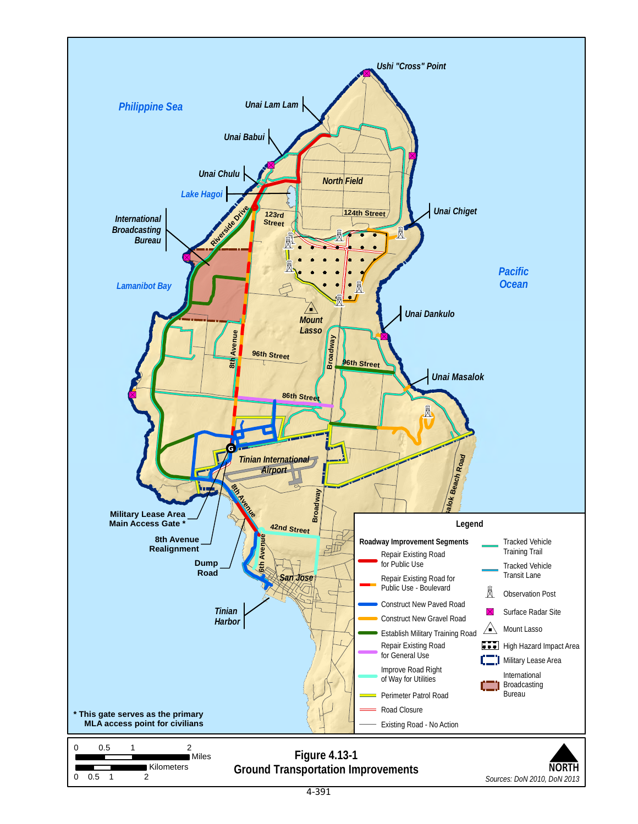<span id="page-6-0"></span>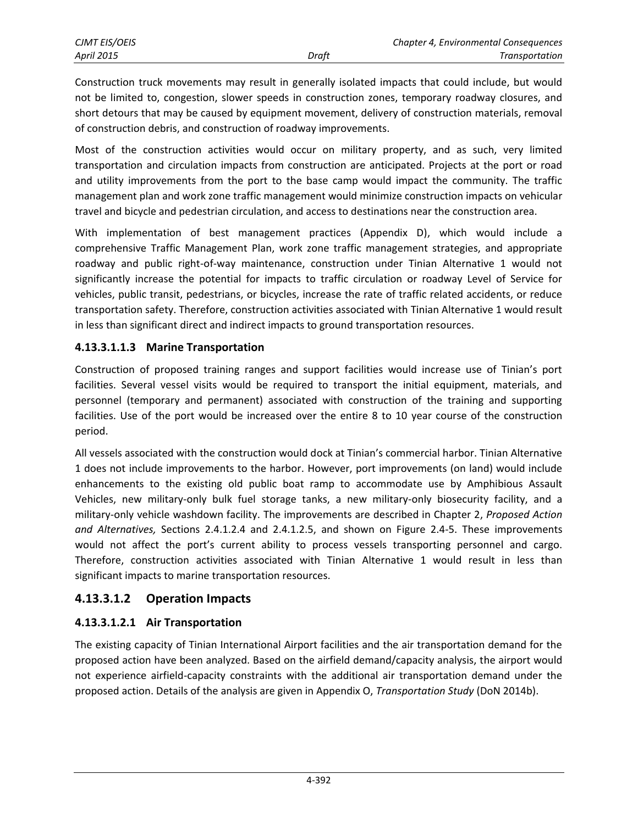Construction truck movements may result in generally isolated impacts that could include, but would not be limited to, congestion, slower speeds in construction zones, temporary roadway closures, and short detours that may be caused by equipment movement, delivery of construction materials, removal of construction debris, and construction of roadway improvements.

Most of the construction activities would occur on military property, and as such, very limited transportation and circulation impacts from construction are anticipated. Projects at the port or road and utility improvements from the port to the base camp would impact the community. The traffic management plan and work zone traffic management would minimize construction impacts on vehicular travel and bicycle and pedestrian circulation, and access to destinations near the construction area.

With implementation of best management practices (Appendix D), which would include a comprehensive Traffic Management Plan, work zone traffic management strategies, and appropriate roadway and public right-of-way maintenance, construction under Tinian Alternative 1 would not significantly increase the potential for impacts to traffic circulation or roadway Level of Service for vehicles, public transit, pedestrians, or bicycles, increase the rate of traffic related accidents, or reduce transportation safety. Therefore, construction activities associated with Tinian Alternative 1 would result in less than significant direct and indirect impacts to ground transportation resources.

#### **4.13.3.1.1.3 Marine Transportation**

Construction of proposed training ranges and support facilities would increase use of Tinian's port facilities. Several vessel visits would be required to transport the initial equipment, materials, and personnel (temporary and permanent) associated with construction of the training and supporting facilities. Use of the port would be increased over the entire 8 to 10 year course of the construction period.

All vessels associated with the construction would dock at Tinian's commercial harbor. Tinian Alternative 1 does not include improvements to the harbor. However, port improvements (on land) would include enhancements to the existing old public boat ramp to accommodate use by Amphibious Assault Vehicles, new military-only bulk fuel storage tanks, a new military-only biosecurity facility, and a military-only vehicle washdown facility. The improvements are described in Chapter 2, *Proposed Action and Alternatives,* Sections 2.4.1.2.4 and 2.4.1.2.5, and shown on Figure 2.4-5. These improvements would not affect the port's current ability to process vessels transporting personnel and cargo. Therefore, construction activities associated with Tinian Alternative 1 would result in less than significant impacts to marine transportation resources.

## **4.13.3.1.2 Operation Impacts**

## **4.13.3.1.2.1 Air Transportation**

The existing capacity of Tinian International Airport facilities and the air transportation demand for the proposed action have been analyzed. Based on the airfield demand/capacity analysis, the airport would not experience airfield-capacity constraints with the additional air transportation demand under the proposed action. Details of the analysis are given in Appendix O, *Transportation Study* (DoN 2014b).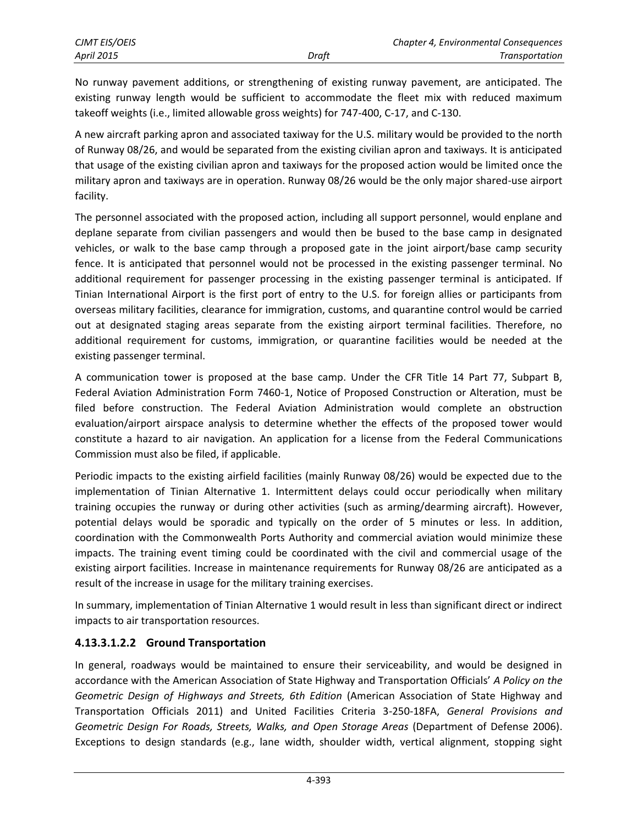No runway pavement additions, or strengthening of existing runway pavement, are anticipated. The existing runway length would be sufficient to accommodate the fleet mix with reduced maximum takeoff weights (i.e., limited allowable gross weights) for 747-400, C-17, and C-130.

A new aircraft parking apron and associated taxiway for the U.S. military would be provided to the north of Runway 08/26, and would be separated from the existing civilian apron and taxiways. It is anticipated that usage of the existing civilian apron and taxiways for the proposed action would be limited once the military apron and taxiways are in operation. Runway 08/26 would be the only major shared-use airport facility.

The personnel associated with the proposed action, including all support personnel, would enplane and deplane separate from civilian passengers and would then be bused to the base camp in designated vehicles, or walk to the base camp through a proposed gate in the joint airport/base camp security fence. It is anticipated that personnel would not be processed in the existing passenger terminal. No additional requirement for passenger processing in the existing passenger terminal is anticipated. If Tinian International Airport is the first port of entry to the U.S. for foreign allies or participants from overseas military facilities, clearance for immigration, customs, and quarantine control would be carried out at designated staging areas separate from the existing airport terminal facilities. Therefore, no additional requirement for customs, immigration, or quarantine facilities would be needed at the existing passenger terminal.

A communication tower is proposed at the base camp. Under the CFR Title 14 Part 77, Subpart B, Federal Aviation Administration Form 7460-1, Notice of Proposed Construction or Alteration, must be filed before construction. The Federal Aviation Administration would complete an obstruction evaluation/airport airspace analysis to determine whether the effects of the proposed tower would constitute a hazard to air navigation. An application for a license from the Federal Communications Commission must also be filed, if applicable.

Periodic impacts to the existing airfield facilities (mainly Runway 08/26) would be expected due to the implementation of Tinian Alternative 1. Intermittent delays could occur periodically when military training occupies the runway or during other activities (such as arming/dearming aircraft). However, potential delays would be sporadic and typically on the order of 5 minutes or less. In addition, coordination with the Commonwealth Ports Authority and commercial aviation would minimize these impacts. The training event timing could be coordinated with the civil and commercial usage of the existing airport facilities. Increase in maintenance requirements for Runway 08/26 are anticipated as a result of the increase in usage for the military training exercises.

In summary, implementation of Tinian Alternative 1 would result in less than significant direct or indirect impacts to air transportation resources.

## **4.13.3.1.2.2 Ground Transportation**

In general, roadways would be maintained to ensure their serviceability, and would be designed in accordance with the American Association of State Highway and Transportation Officials' *A Policy on the Geometric Design of Highways and Streets, 6th Edition* (American Association of State Highway and Transportation Officials 2011) and United Facilities Criteria 3-250-18FA, *General Provisions and Geometric Design For Roads, Streets, Walks, and Open Storage Areas* (Department of Defense 2006). Exceptions to design standards (e.g., lane width, shoulder width, vertical alignment, stopping sight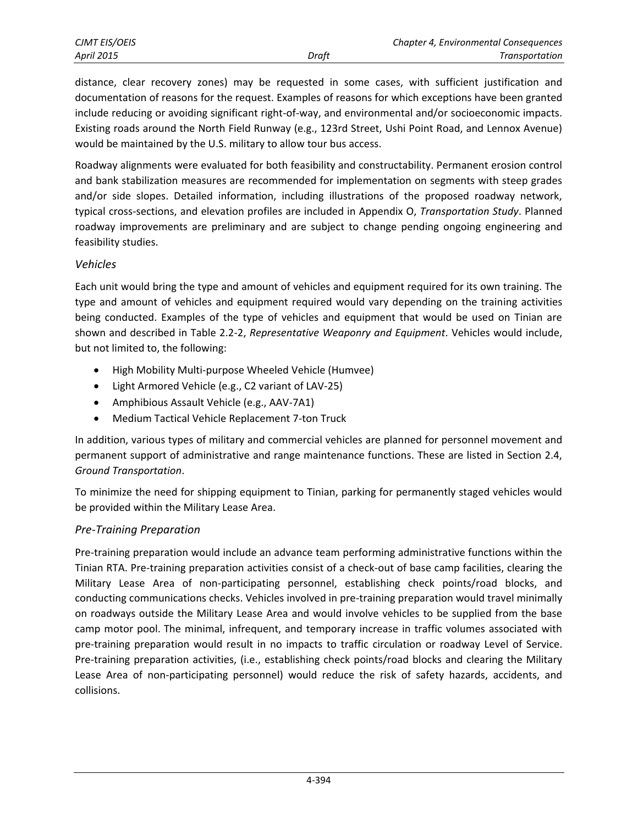distance, clear recovery zones) may be requested in some cases, with sufficient justification and documentation of reasons for the request. Examples of reasons for which exceptions have been granted include reducing or avoiding significant right-of-way, and environmental and/or socioeconomic impacts. Existing roads around the North Field Runway (e.g., 123rd Street, Ushi Point Road, and Lennox Avenue) would be maintained by the U.S. military to allow tour bus access.

Roadway alignments were evaluated for both feasibility and constructability. Permanent erosion control and bank stabilization measures are recommended for implementation on segments with steep grades and/or side slopes. Detailed information, including illustrations of the proposed roadway network, typical cross-sections, and elevation profiles are included in Appendix O, *Transportation Study*. Planned roadway improvements are preliminary and are subject to change pending ongoing engineering and feasibility studies.

#### *Vehicles*

Each unit would bring the type and amount of vehicles and equipment required for its own training. The type and amount of vehicles and equipment required would vary depending on the training activities being conducted. Examples of the type of vehicles and equipment that would be used on Tinian are shown and described in Table 2.2-2, *Representative Weaponry and Equipment*. Vehicles would include, but not limited to, the following:

- High Mobility Multi-purpose Wheeled Vehicle (Humvee)
- Light Armored Vehicle (e.g., C2 variant of LAV-25)
- Amphibious Assault Vehicle (e.g., AAV-7A1)
- Medium Tactical Vehicle Replacement 7-ton Truck

In addition, various types of military and commercial vehicles are planned for personnel movement and permanent support of administrative and range maintenance functions. These are listed in Section 2.4, *Ground Transportation*.

To minimize the need for shipping equipment to Tinian, parking for permanently staged vehicles would be provided within the Military Lease Area.

#### *Pre-Training Preparation*

Pre-training preparation would include an advance team performing administrative functions within the Tinian RTA. Pre-training preparation activities consist of a check-out of base camp facilities, clearing the Military Lease Area of non-participating personnel, establishing check points/road blocks, and conducting communications checks. Vehicles involved in pre-training preparation would travel minimally on roadways outside the Military Lease Area and would involve vehicles to be supplied from the base camp motor pool. The minimal, infrequent, and temporary increase in traffic volumes associated with pre-training preparation would result in no impacts to traffic circulation or roadway Level of Service. Pre-training preparation activities, (i.e., establishing check points/road blocks and clearing the Military Lease Area of non-participating personnel) would reduce the risk of safety hazards, accidents, and collisions.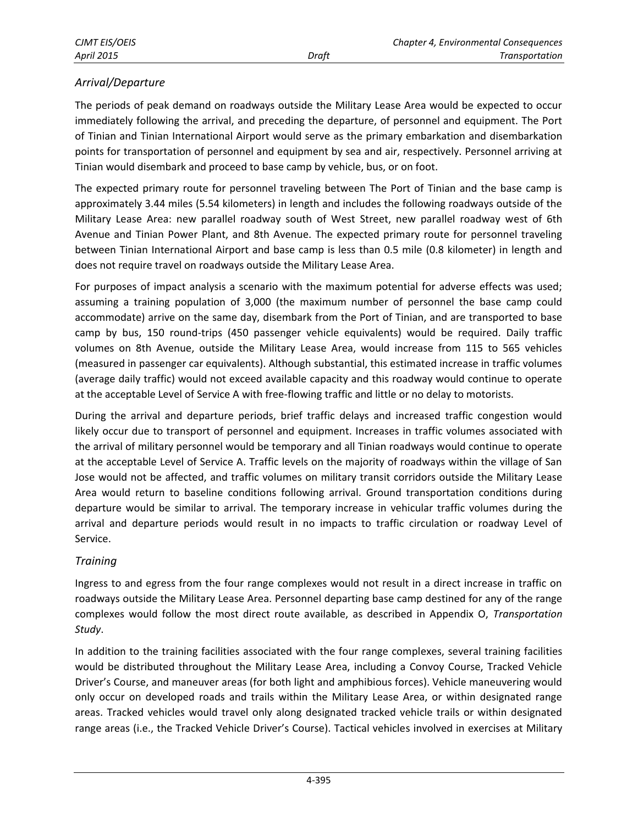#### *Arrival/Departure*

The periods of peak demand on roadways outside the Military Lease Area would be expected to occur immediately following the arrival, and preceding the departure, of personnel and equipment. The Port of Tinian and Tinian International Airport would serve as the primary embarkation and disembarkation points for transportation of personnel and equipment by sea and air, respectively. Personnel arriving at Tinian would disembark and proceed to base camp by vehicle, bus, or on foot.

The expected primary route for personnel traveling between The Port of Tinian and the base camp is approximately 3.44 miles (5.54 kilometers) in length and includes the following roadways outside of the Military Lease Area: new parallel roadway south of West Street, new parallel roadway west of 6th Avenue and Tinian Power Plant, and 8th Avenue. The expected primary route for personnel traveling between Tinian International Airport and base camp is less than 0.5 mile (0.8 kilometer) in length and does not require travel on roadways outside the Military Lease Area.

For purposes of impact analysis a scenario with the maximum potential for adverse effects was used; assuming a training population of 3,000 (the maximum number of personnel the base camp could accommodate) arrive on the same day, disembark from the Port of Tinian, and are transported to base camp by bus, 150 round-trips (450 passenger vehicle equivalents) would be required. Daily traffic volumes on 8th Avenue, outside the Military Lease Area, would increase from 115 to 565 vehicles (measured in passenger car equivalents). Although substantial, this estimated increase in traffic volumes (average daily traffic) would not exceed available capacity and this roadway would continue to operate at the acceptable Level of Service A with free-flowing traffic and little or no delay to motorists.

During the arrival and departure periods, brief traffic delays and increased traffic congestion would likely occur due to transport of personnel and equipment. Increases in traffic volumes associated with the arrival of military personnel would be temporary and all Tinian roadways would continue to operate at the acceptable Level of Service A. Traffic levels on the majority of roadways within the village of San Jose would not be affected, and traffic volumes on military transit corridors outside the Military Lease Area would return to baseline conditions following arrival. Ground transportation conditions during departure would be similar to arrival. The temporary increase in vehicular traffic volumes during the arrival and departure periods would result in no impacts to traffic circulation or roadway Level of Service.

#### *Training*

Ingress to and egress from the four range complexes would not result in a direct increase in traffic on roadways outside the Military Lease Area. Personnel departing base camp destined for any of the range complexes would follow the most direct route available, as described in Appendix O, *Transportation Study*.

In addition to the training facilities associated with the four range complexes, several training facilities would be distributed throughout the Military Lease Area, including a Convoy Course, Tracked Vehicle Driver's Course, and maneuver areas (for both light and amphibious forces). Vehicle maneuvering would only occur on developed roads and trails within the Military Lease Area, or within designated range areas. Tracked vehicles would travel only along designated tracked vehicle trails or within designated range areas (i.e., the Tracked Vehicle Driver's Course). Tactical vehicles involved in exercises at Military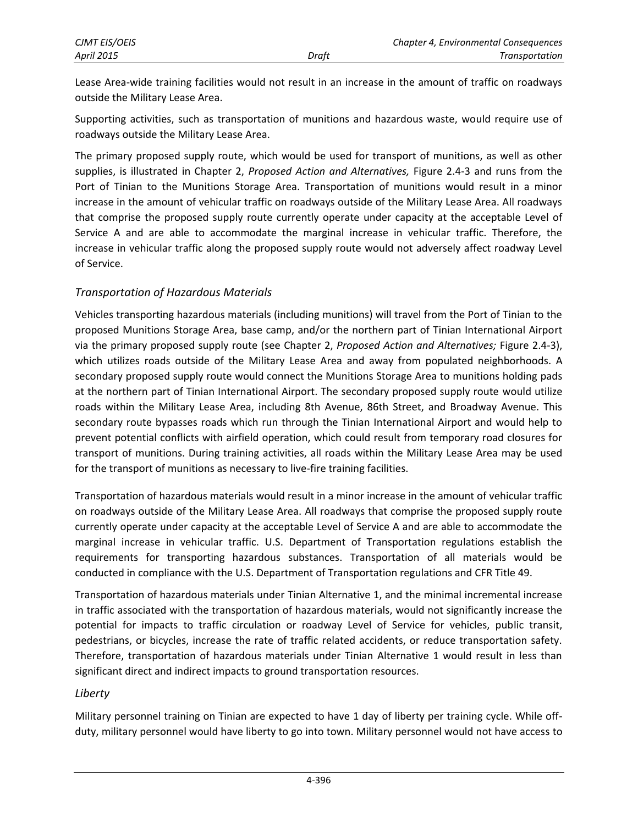Lease Area-wide training facilities would not result in an increase in the amount of traffic on roadways outside the Military Lease Area.

Supporting activities, such as transportation of munitions and hazardous waste, would require use of roadways outside the Military Lease Area.

The primary proposed supply route, which would be used for transport of munitions, as well as other supplies, is illustrated in Chapter 2, *Proposed Action and Alternatives,* Figure 2.4-3 and runs from the Port of Tinian to the Munitions Storage Area. Transportation of munitions would result in a minor increase in the amount of vehicular traffic on roadways outside of the Military Lease Area. All roadways that comprise the proposed supply route currently operate under capacity at the acceptable Level of Service A and are able to accommodate the marginal increase in vehicular traffic. Therefore, the increase in vehicular traffic along the proposed supply route would not adversely affect roadway Level of Service.

#### *Transportation of Hazardous Materials*

Vehicles transporting hazardous materials (including munitions) will travel from the Port of Tinian to the proposed Munitions Storage Area, base camp, and/or the northern part of Tinian International Airport via the primary proposed supply route (see Chapter 2, *Proposed Action and Alternatives;* Figure 2.4-3), which utilizes roads outside of the Military Lease Area and away from populated neighborhoods. A secondary proposed supply route would connect the Munitions Storage Area to munitions holding pads at the northern part of Tinian International Airport. The secondary proposed supply route would utilize roads within the Military Lease Area, including 8th Avenue, 86th Street, and Broadway Avenue. This secondary route bypasses roads which run through the Tinian International Airport and would help to prevent potential conflicts with airfield operation, which could result from temporary road closures for transport of munitions. During training activities, all roads within the Military Lease Area may be used for the transport of munitions as necessary to live-fire training facilities.

Transportation of hazardous materials would result in a minor increase in the amount of vehicular traffic on roadways outside of the Military Lease Area. All roadways that comprise the proposed supply route currently operate under capacity at the acceptable Level of Service A and are able to accommodate the marginal increase in vehicular traffic. U.S. Department of Transportation regulations establish the requirements for transporting hazardous substances. Transportation of all materials would be conducted in compliance with the U.S. Department of Transportation regulations and CFR Title 49.

Transportation of hazardous materials under Tinian Alternative 1, and the minimal incremental increase in traffic associated with the transportation of hazardous materials, would not significantly increase the potential for impacts to traffic circulation or roadway Level of Service for vehicles, public transit, pedestrians, or bicycles, increase the rate of traffic related accidents, or reduce transportation safety. Therefore, transportation of hazardous materials under Tinian Alternative 1 would result in less than significant direct and indirect impacts to ground transportation resources.

#### *Liberty*

Military personnel training on Tinian are expected to have 1 day of liberty per training cycle. While offduty, military personnel would have liberty to go into town. Military personnel would not have access to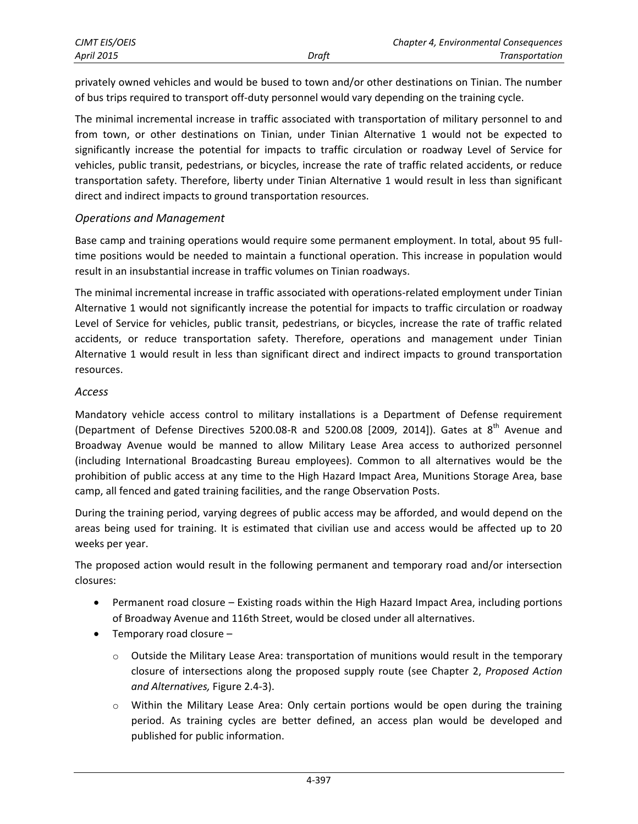privately owned vehicles and would be bused to town and/or other destinations on Tinian. The number of bus trips required to transport off-duty personnel would vary depending on the training cycle.

The minimal incremental increase in traffic associated with transportation of military personnel to and from town, or other destinations on Tinian, under Tinian Alternative 1 would not be expected to significantly increase the potential for impacts to traffic circulation or roadway Level of Service for vehicles, public transit, pedestrians, or bicycles, increase the rate of traffic related accidents, or reduce transportation safety. Therefore, liberty under Tinian Alternative 1 would result in less than significant direct and indirect impacts to ground transportation resources.

#### *Operations and Management*

Base camp and training operations would require some permanent employment. In total, about 95 fulltime positions would be needed to maintain a functional operation. This increase in population would result in an insubstantial increase in traffic volumes on Tinian roadways.

The minimal incremental increase in traffic associated with operations-related employment under Tinian Alternative 1 would not significantly increase the potential for impacts to traffic circulation or roadway Level of Service for vehicles, public transit, pedestrians, or bicycles, increase the rate of traffic related accidents, or reduce transportation safety. Therefore, operations and management under Tinian Alternative 1 would result in less than significant direct and indirect impacts to ground transportation resources.

#### *Access*

Mandatory vehicle access control to military installations is a Department of Defense requirement (Department of Defense Directives 5200.08-R and 5200.08 [2009, 2014]). Gates at  $8<sup>th</sup>$  Avenue and Broadway Avenue would be manned to allow Military Lease Area access to authorized personnel (including International Broadcasting Bureau employees). Common to all alternatives would be the prohibition of public access at any time to the High Hazard Impact Area, Munitions Storage Area, base camp, all fenced and gated training facilities, and the range Observation Posts.

During the training period, varying degrees of public access may be afforded, and would depend on the areas being used for training. It is estimated that civilian use and access would be affected up to 20 weeks per year.

The proposed action would result in the following permanent and temporary road and/or intersection closures:

- Permanent road closure Existing roads within the High Hazard Impact Area, including portions of Broadway Avenue and 116th Street, would be closed under all alternatives.
- Temporary road closure
	- $\circ$  Outside the Military Lease Area: transportation of munitions would result in the temporary closure of intersections along the proposed supply route (see Chapter 2, *Proposed Action and Alternatives,* Figure 2.4-3).
	- $\circ$  Within the Military Lease Area: Only certain portions would be open during the training period. As training cycles are better defined, an access plan would be developed and published for public information.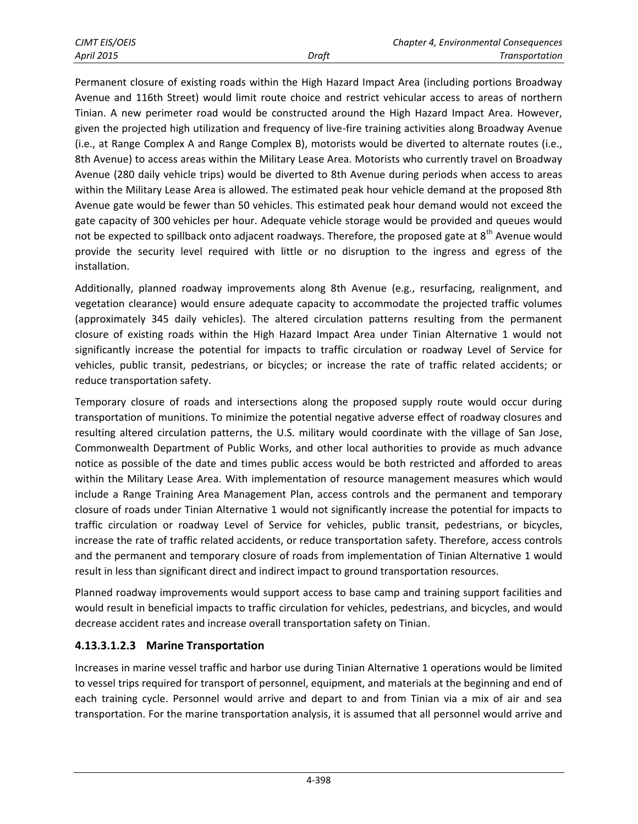Permanent closure of existing roads within the High Hazard Impact Area (including portions Broadway Avenue and 116th Street) would limit route choice and restrict vehicular access to areas of northern Tinian. A new perimeter road would be constructed around the High Hazard Impact Area. However, given the projected high utilization and frequency of live-fire training activities along Broadway Avenue (i.e., at Range Complex A and Range Complex B), motorists would be diverted to alternate routes (i.e., 8th Avenue) to access areas within the Military Lease Area. Motorists who currently travel on Broadway Avenue (280 daily vehicle trips) would be diverted to 8th Avenue during periods when access to areas within the Military Lease Area is allowed. The estimated peak hour vehicle demand at the proposed 8th Avenue gate would be fewer than 50 vehicles. This estimated peak hour demand would not exceed the gate capacity of 300 vehicles per hour. Adequate vehicle storage would be provided and queues would not be expected to spillback onto adjacent roadways. Therefore, the proposed gate at  $8<sup>th</sup>$  Avenue would provide the security level required with little or no disruption to the ingress and egress of the installation.

Additionally, planned roadway improvements along 8th Avenue (e.g., resurfacing, realignment, and vegetation clearance) would ensure adequate capacity to accommodate the projected traffic volumes (approximately 345 daily vehicles). The altered circulation patterns resulting from the permanent closure of existing roads within the High Hazard Impact Area under Tinian Alternative 1 would not significantly increase the potential for impacts to traffic circulation or roadway Level of Service for vehicles, public transit, pedestrians, or bicycles; or increase the rate of traffic related accidents; or reduce transportation safety.

Temporary closure of roads and intersections along the proposed supply route would occur during transportation of munitions. To minimize the potential negative adverse effect of roadway closures and resulting altered circulation patterns, the U.S. military would coordinate with the village of San Jose, Commonwealth Department of Public Works, and other local authorities to provide as much advance notice as possible of the date and times public access would be both restricted and afforded to areas within the Military Lease Area. With implementation of resource management measures which would include a Range Training Area Management Plan, access controls and the permanent and temporary closure of roads under Tinian Alternative 1 would not significantly increase the potential for impacts to traffic circulation or roadway Level of Service for vehicles, public transit, pedestrians, or bicycles, increase the rate of traffic related accidents, or reduce transportation safety. Therefore, access controls and the permanent and temporary closure of roads from implementation of Tinian Alternative 1 would result in less than significant direct and indirect impact to ground transportation resources.

Planned roadway improvements would support access to base camp and training support facilities and would result in beneficial impacts to traffic circulation for vehicles, pedestrians, and bicycles, and would decrease accident rates and increase overall transportation safety on Tinian.

## **4.13.3.1.2.3 Marine Transportation**

Increases in marine vessel traffic and harbor use during Tinian Alternative 1 operations would be limited to vessel trips required for transport of personnel, equipment, and materials at the beginning and end of each training cycle. Personnel would arrive and depart to and from Tinian via a mix of air and sea transportation. For the marine transportation analysis, it is assumed that all personnel would arrive and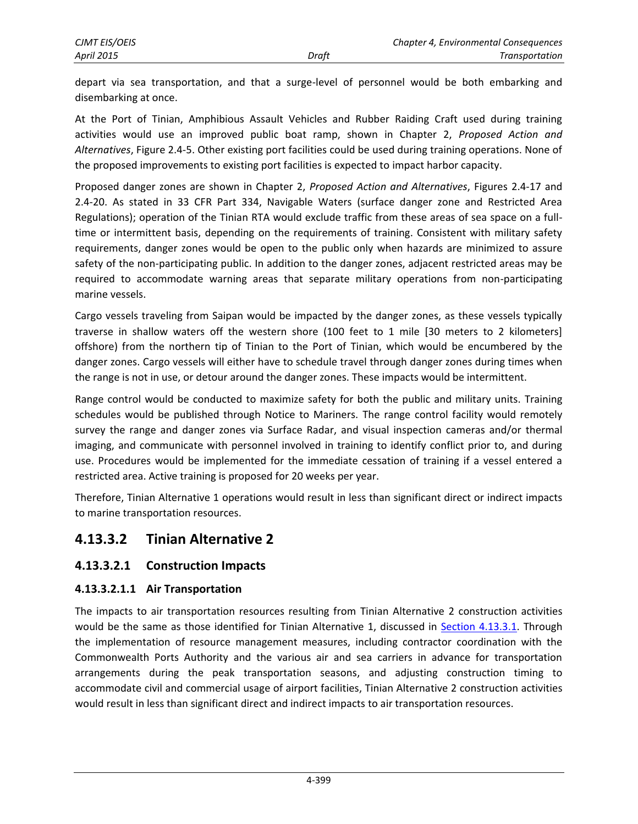depart via sea transportation, and that a surge-level of personnel would be both embarking and disembarking at once.

At the Port of Tinian, Amphibious Assault Vehicles and Rubber Raiding Craft used during training activities would use an improved public boat ramp, shown in Chapter 2, *Proposed Action and Alternatives*, Figure 2.4-5. Other existing port facilities could be used during training operations. None of the proposed improvements to existing port facilities is expected to impact harbor capacity.

Proposed danger zones are shown in Chapter 2, *Proposed Action and Alternatives*, Figures 2.4-17 and 2.4-20. As stated in 33 CFR Part 334, Navigable Waters (surface danger zone and Restricted Area Regulations); operation of the Tinian RTA would exclude traffic from these areas of sea space on a fulltime or intermittent basis, depending on the requirements of training. Consistent with military safety requirements, danger zones would be open to the public only when hazards are minimized to assure safety of the non-participating public. In addition to the danger zones, adjacent restricted areas may be required to accommodate warning areas that separate military operations from non-participating marine vessels.

Cargo vessels traveling from Saipan would be impacted by the danger zones, as these vessels typically traverse in shallow waters off the western shore (100 feet to 1 mile [30 meters to 2 kilometers] offshore) from the northern tip of Tinian to the Port of Tinian, which would be encumbered by the danger zones. Cargo vessels will either have to schedule travel through danger zones during times when the range is not in use, or detour around the danger zones. These impacts would be intermittent.

Range control would be conducted to maximize safety for both the public and military units. Training schedules would be published through Notice to Mariners. The range control facility would remotely survey the range and danger zones via Surface Radar, and visual inspection cameras and/or thermal imaging, and communicate with personnel involved in training to identify conflict prior to, and during use. Procedures would be implemented for the immediate cessation of training if a vessel entered a restricted area. Active training is proposed for 20 weeks per year.

Therefore, Tinian Alternative 1 operations would result in less than significant direct or indirect impacts to marine transportation resources.

# **4.13.3.2 Tinian Alternative 2**

## **4.13.3.2.1 Construction Impacts**

#### **4.13.3.2.1.1 Air Transportation**

The impacts to air transportation resources resulting from Tinian Alternative 2 construction activities would be the same as those identified for Tinian Alternative 1, discussed in [Section 4.13.3.1.](#page-3-0) Through the implementation of resource management measures, including contractor coordination with the Commonwealth Ports Authority and the various air and sea carriers in advance for transportation arrangements during the peak transportation seasons, and adjusting construction timing to accommodate civil and commercial usage of airport facilities, Tinian Alternative 2 construction activities would result in less than significant direct and indirect impacts to air transportation resources.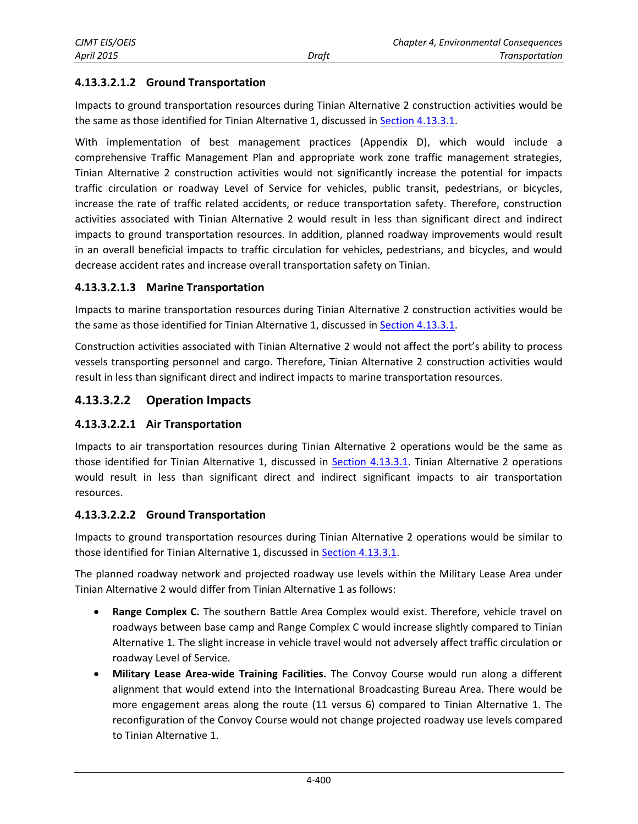### **4.13.3.2.1.2 Ground Transportation**

Impacts to ground transportation resources during Tinian Alternative 2 construction activities would be the same as those identified for Tinian Alternative 1, discussed in [Section 4.13.3.1.](#page-3-0)

With implementation of best management practices (Appendix D), which would include a comprehensive Traffic Management Plan and appropriate work zone traffic management strategies, Tinian Alternative 2 construction activities would not significantly increase the potential for impacts traffic circulation or roadway Level of Service for vehicles, public transit, pedestrians, or bicycles, increase the rate of traffic related accidents, or reduce transportation safety. Therefore, construction activities associated with Tinian Alternative 2 would result in less than significant direct and indirect impacts to ground transportation resources. In addition, planned roadway improvements would result in an overall beneficial impacts to traffic circulation for vehicles, pedestrians, and bicycles, and would decrease accident rates and increase overall transportation safety on Tinian.

#### **4.13.3.2.1.3 Marine Transportation**

Impacts to marine transportation resources during Tinian Alternative 2 construction activities would be the same as those identified for Tinian Alternative 1, discussed in [Section 4.13.3.1.](#page-3-0)

Construction activities associated with Tinian Alternative 2 would not affect the port's ability to process vessels transporting personnel and cargo. Therefore, Tinian Alternative 2 construction activities would result in less than significant direct and indirect impacts to marine transportation resources.

#### **4.13.3.2.2 Operation Impacts**

#### **4.13.3.2.2.1 Air Transportation**

Impacts to air transportation resources during Tinian Alternative 2 operations would be the same as those identified for Tinian Alternative 1, discussed in [Section 4.13.3.1.](#page-3-0) Tinian Alternative 2 operations would result in less than significant direct and indirect significant impacts to air transportation resources.

#### **4.13.3.2.2.2 Ground Transportation**

Impacts to ground transportation resources during Tinian Alternative 2 operations would be similar to those identified for Tinian Alternative 1, discussed in **Section 4.13.3.1**.

The planned roadway network and projected roadway use levels within the Military Lease Area under Tinian Alternative 2 would differ from Tinian Alternative 1 as follows:

- **Range Complex C.** The southern Battle Area Complex would exist. Therefore, vehicle travel on roadways between base camp and Range Complex C would increase slightly compared to Tinian Alternative 1. The slight increase in vehicle travel would not adversely affect traffic circulation or roadway Level of Service.
- **Military Lease Area-wide Training Facilities.** The Convoy Course would run along a different alignment that would extend into the International Broadcasting Bureau Area. There would be more engagement areas along the route (11 versus 6) compared to Tinian Alternative 1. The reconfiguration of the Convoy Course would not change projected roadway use levels compared to Tinian Alternative 1.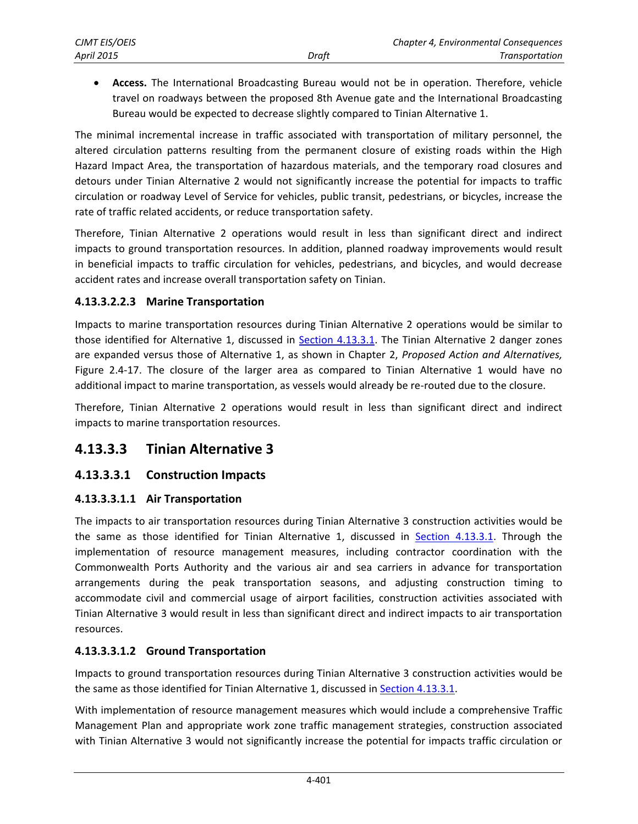**Access.** The International Broadcasting Bureau would not be in operation. Therefore, vehicle travel on roadways between the proposed 8th Avenue gate and the International Broadcasting Bureau would be expected to decrease slightly compared to Tinian Alternative 1.

The minimal incremental increase in traffic associated with transportation of military personnel, the altered circulation patterns resulting from the permanent closure of existing roads within the High Hazard Impact Area, the transportation of hazardous materials, and the temporary road closures and detours under Tinian Alternative 2 would not significantly increase the potential for impacts to traffic circulation or roadway Level of Service for vehicles, public transit, pedestrians, or bicycles, increase the rate of traffic related accidents, or reduce transportation safety.

Therefore, Tinian Alternative 2 operations would result in less than significant direct and indirect impacts to ground transportation resources. In addition, planned roadway improvements would result in beneficial impacts to traffic circulation for vehicles, pedestrians, and bicycles, and would decrease accident rates and increase overall transportation safety on Tinian.

#### **4.13.3.2.2.3 Marine Transportation**

Impacts to marine transportation resources during Tinian Alternative 2 operations would be similar to those identified for Alternative 1, discussed in [Section 4.13.3.1.](#page-3-0) The Tinian Alternative 2 danger zones are expanded versus those of Alternative 1, as shown in Chapter 2, *Proposed Action and Alternatives,* Figure 2.4-17. The closure of the larger area as compared to Tinian Alternative 1 would have no additional impact to marine transportation, as vessels would already be re-routed due to the closure.

Therefore, Tinian Alternative 2 operations would result in less than significant direct and indirect impacts to marine transportation resources.

## **4.13.3.3 Tinian Alternative 3**

## **4.13.3.3.1 Construction Impacts**

#### **4.13.3.3.1.1 Air Transportation**

The impacts to air transportation resources during Tinian Alternative 3 construction activities would be the same as those identified for Tinian Alternative 1, discussed in [Section 4.13.3.1.](#page-3-0) Through the implementation of resource management measures, including contractor coordination with the Commonwealth Ports Authority and the various air and sea carriers in advance for transportation arrangements during the peak transportation seasons, and adjusting construction timing to accommodate civil and commercial usage of airport facilities, construction activities associated with Tinian Alternative 3 would result in less than significant direct and indirect impacts to air transportation resources.

#### **4.13.3.3.1.2 Ground Transportation**

Impacts to ground transportation resources during Tinian Alternative 3 construction activities would be the same as those identified for Tinian Alternative 1, discussed in [Section 4.13.3.1.](#page-3-0)

With implementation of resource management measures which would include a comprehensive Traffic Management Plan and appropriate work zone traffic management strategies, construction associated with Tinian Alternative 3 would not significantly increase the potential for impacts traffic circulation or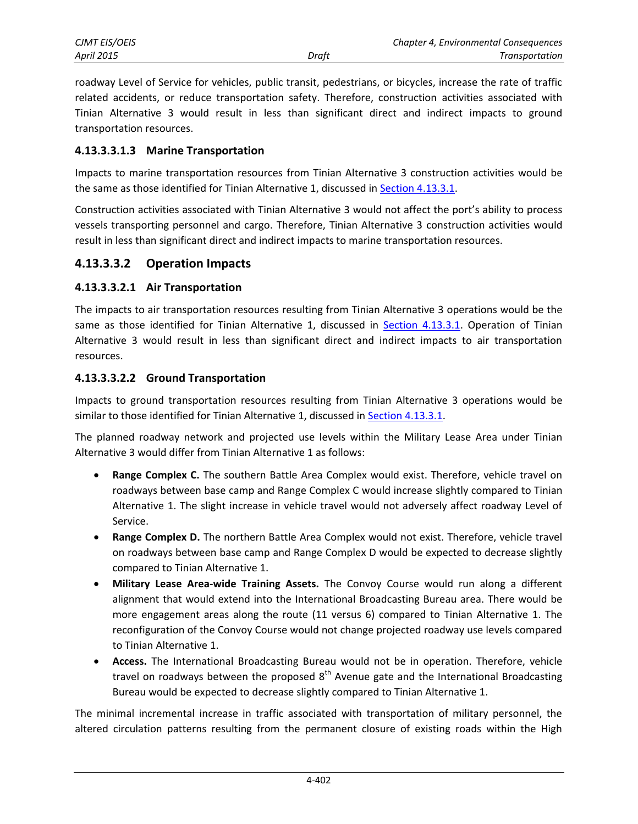| <b>CJMT EIS/OEIS</b> |       | Chapter 4, Environmental Consequences |
|----------------------|-------|---------------------------------------|
| <b>April 2015</b>    | Draft | <b>Transportation</b>                 |

roadway Level of Service for vehicles, public transit, pedestrians, or bicycles, increase the rate of traffic related accidents, or reduce transportation safety. Therefore, construction activities associated with Tinian Alternative 3 would result in less than significant direct and indirect impacts to ground transportation resources.

#### **4.13.3.3.1.3 Marine Transportation**

Impacts to marine transportation resources from Tinian Alternative 3 construction activities would be the same as those identified for Tinian Alternative 1, discussed in [Section 4.13.3.1.](#page-3-0)

Construction activities associated with Tinian Alternative 3 would not affect the port's ability to process vessels transporting personnel and cargo. Therefore, Tinian Alternative 3 construction activities would result in less than significant direct and indirect impacts to marine transportation resources.

#### **4.13.3.3.2 Operation Impacts**

#### **4.13.3.3.2.1 Air Transportation**

The impacts to air transportation resources resulting from Tinian Alternative 3 operations would be the same as those identified for Tinian Alternative 1, discussed in [Section 4.13.3.1.](#page-3-0) Operation of Tinian Alternative 3 would result in less than significant direct and indirect impacts to air transportation resources.

#### **4.13.3.3.2.2 Ground Transportation**

Impacts to ground transportation resources resulting from Tinian Alternative 3 operations would be similar to those identified for Tinian Alternative 1, discussed in [Section 4.13.3.1.](#page-3-0)

The planned roadway network and projected use levels within the Military Lease Area under Tinian Alternative 3 would differ from Tinian Alternative 1 as follows:

- **Range Complex C.** The southern Battle Area Complex would exist. Therefore, vehicle travel on roadways between base camp and Range Complex C would increase slightly compared to Tinian Alternative 1. The slight increase in vehicle travel would not adversely affect roadway Level of Service.
- **Range Complex D.** The northern Battle Area Complex would not exist. Therefore, vehicle travel on roadways between base camp and Range Complex D would be expected to decrease slightly compared to Tinian Alternative 1.
- **Military Lease Area-wide Training Assets.** The Convoy Course would run along a different alignment that would extend into the International Broadcasting Bureau area. There would be more engagement areas along the route (11 versus 6) compared to Tinian Alternative 1. The reconfiguration of the Convoy Course would not change projected roadway use levels compared to Tinian Alternative 1.
- **Access.** The International Broadcasting Bureau would not be in operation. Therefore, vehicle travel on roadways between the proposed  $8<sup>th</sup>$  Avenue gate and the International Broadcasting Bureau would be expected to decrease slightly compared to Tinian Alternative 1.

The minimal incremental increase in traffic associated with transportation of military personnel, the altered circulation patterns resulting from the permanent closure of existing roads within the High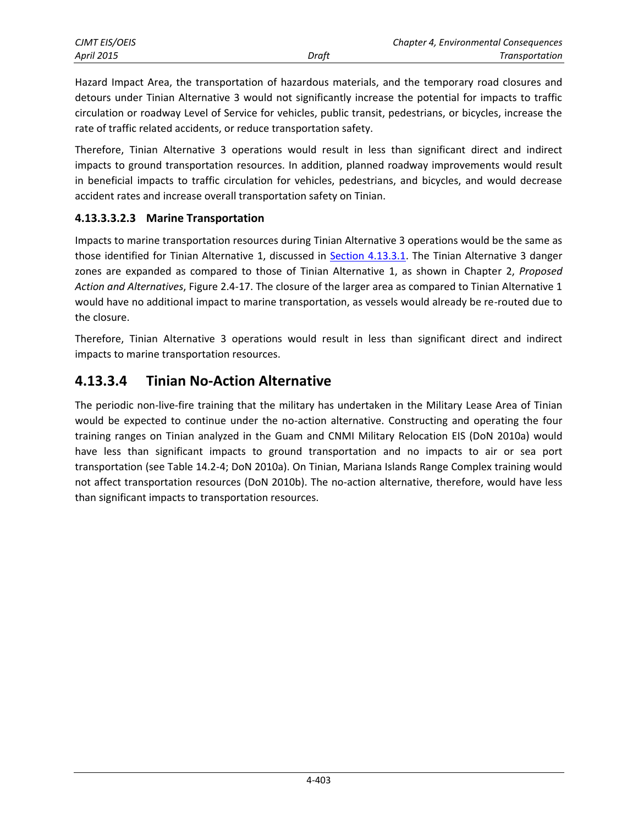| CJMT EIS/OEIS     |       | <b>Chapter 4, Environmental Consequences</b> |
|-------------------|-------|----------------------------------------------|
| <b>April 2015</b> | Draft | <b>Transportation</b>                        |

Hazard Impact Area, the transportation of hazardous materials, and the temporary road closures and detours under Tinian Alternative 3 would not significantly increase the potential for impacts to traffic circulation or roadway Level of Service for vehicles, public transit, pedestrians, or bicycles, increase the rate of traffic related accidents, or reduce transportation safety.

Therefore, Tinian Alternative 3 operations would result in less than significant direct and indirect impacts to ground transportation resources. In addition, planned roadway improvements would result in beneficial impacts to traffic circulation for vehicles, pedestrians, and bicycles, and would decrease accident rates and increase overall transportation safety on Tinian.

#### **4.13.3.3.2.3 Marine Transportation**

Impacts to marine transportation resources during Tinian Alternative 3 operations would be the same as those identified for Tinian Alternative 1, discussed in [Section 4.13.3.1.](#page-3-0) The Tinian Alternative 3 danger zones are expanded as compared to those of Tinian Alternative 1, as shown in Chapter 2, *Proposed Action and Alternatives*, Figure 2.4-17. The closure of the larger area as compared to Tinian Alternative 1 would have no additional impact to marine transportation, as vessels would already be re-routed due to the closure.

Therefore, Tinian Alternative 3 operations would result in less than significant direct and indirect impacts to marine transportation resources.

## **4.13.3.4 Tinian No-Action Alternative**

The periodic non-live-fire training that the military has undertaken in the Military Lease Area of Tinian would be expected to continue under the no-action alternative. Constructing and operating the four training ranges on Tinian analyzed in the Guam and CNMI Military Relocation EIS (DoN 2010a) would have less than significant impacts to ground transportation and no impacts to air or sea port transportation (see Table 14.2-4; DoN 2010a). On Tinian, Mariana Islands Range Complex training would not affect transportation resources (DoN 2010b). The no-action alternative, therefore, would have less than significant impacts to transportation resources.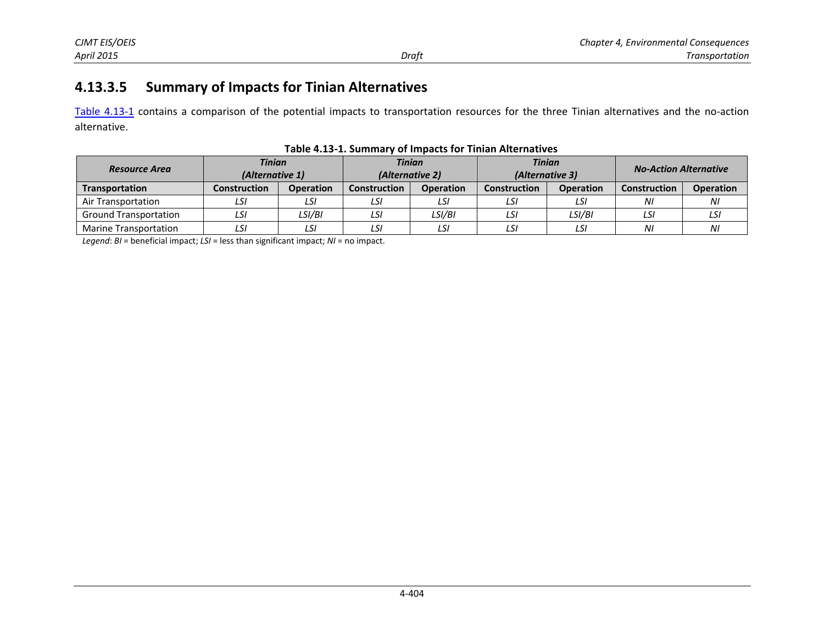# **4.13.3.5 Summary of Impacts for Tinian Alternatives**

[Table 4.13-1](#page-19-0) contains a comparison of the potential impacts to transportation resources for the three Tinian alternatives and the no-action alternative.

| <b>Resource Area</b>         |              | <b>Tinian</b><br><b>Tinian</b><br>(Alternative 2)<br>(Alternative 1) |                     | <b>Tinian</b><br>(Alternative 3) |                     | <b>No-Action Alternative</b> |                     |                  |
|------------------------------|--------------|----------------------------------------------------------------------|---------------------|----------------------------------|---------------------|------------------------------|---------------------|------------------|
| Transportation               | Construction | <b>Operation</b>                                                     | <b>Construction</b> | <b>Operation</b>                 | <b>Construction</b> | <b>Operation</b>             | <b>Construction</b> | <b>Operation</b> |
| Air Transportation           | LSI          | LSI                                                                  | LSI                 | LSI                              | LSI                 | LSI                          | ΝI                  | NI               |
| <b>Ground Transportation</b> | LSI          | LSI/BI                                                               | LSI                 | LSI/BI                           | LSI                 | LSI/BI                       | LSI                 | LSI              |
| Marine Transportation        | LSI          | LSI                                                                  | LSI                 | LSI                              | LSI                 | LSI                          | ΝI                  | ΝI               |

#### <span id="page-19-0"></span>**Table 4.13-1. Summary of Impacts for Tinian Alternatives**

*Legend*: *BI* = beneficial impact; *LSI* = less than significant impact; *NI* = no impact.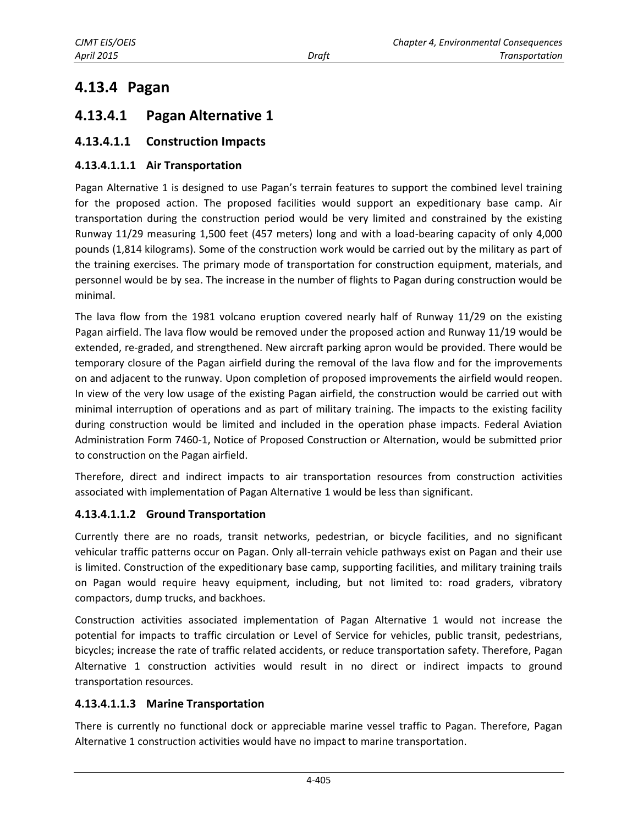# **4.13.4 Pagan**

# <span id="page-20-0"></span>**4.13.4.1 Pagan Alternative 1**

## **4.13.4.1.1 Construction Impacts**

#### **4.13.4.1.1.1 Air Transportation**

Pagan Alternative 1 is designed to use Pagan's terrain features to support the combined level training for the proposed action. The proposed facilities would support an expeditionary base camp. Air transportation during the construction period would be very limited and constrained by the existing Runway 11/29 measuring 1,500 feet (457 meters) long and with a load-bearing capacity of only 4,000 pounds (1,814 kilograms). Some of the construction work would be carried out by the military as part of the training exercises. The primary mode of transportation for construction equipment, materials, and personnel would be by sea. The increase in the number of flights to Pagan during construction would be minimal.

The lava flow from the 1981 volcano eruption covered nearly half of Runway 11/29 on the existing Pagan airfield. The lava flow would be removed under the proposed action and Runway 11/19 would be extended, re-graded, and strengthened. New aircraft parking apron would be provided. There would be temporary closure of the Pagan airfield during the removal of the lava flow and for the improvements on and adjacent to the runway. Upon completion of proposed improvements the airfield would reopen. In view of the very low usage of the existing Pagan airfield, the construction would be carried out with minimal interruption of operations and as part of military training. The impacts to the existing facility during construction would be limited and included in the operation phase impacts. Federal Aviation Administration Form 7460-1, Notice of Proposed Construction or Alternation, would be submitted prior to construction on the Pagan airfield.

Therefore, direct and indirect impacts to air transportation resources from construction activities associated with implementation of Pagan Alternative 1 would be less than significant.

#### **4.13.4.1.1.2 Ground Transportation**

Currently there are no roads, transit networks, pedestrian, or bicycle facilities, and no significant vehicular traffic patterns occur on Pagan. Only all-terrain vehicle pathways exist on Pagan and their use is limited. Construction of the expeditionary base camp, supporting facilities, and military training trails on Pagan would require heavy equipment, including, but not limited to: road graders, vibratory compactors, dump trucks, and backhoes.

Construction activities associated implementation of Pagan Alternative 1 would not increase the potential for impacts to traffic circulation or Level of Service for vehicles, public transit, pedestrians, bicycles; increase the rate of traffic related accidents, or reduce transportation safety. Therefore, Pagan Alternative 1 construction activities would result in no direct or indirect impacts to ground transportation resources.

#### **4.13.4.1.1.3 Marine Transportation**

There is currently no functional dock or appreciable marine vessel traffic to Pagan. Therefore, Pagan Alternative 1 construction activities would have no impact to marine transportation.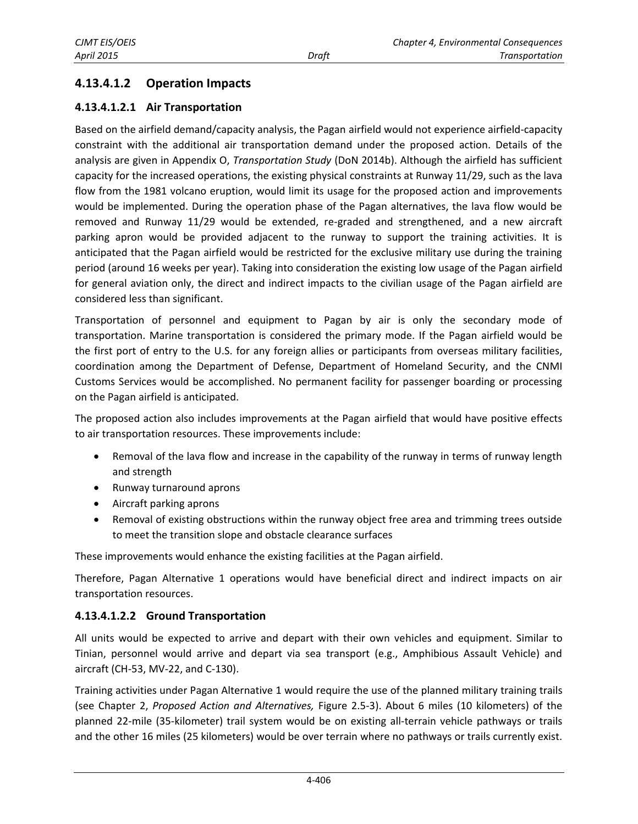## **4.13.4.1.2 Operation Impacts**

## **4.13.4.1.2.1 Air Transportation**

Based on the airfield demand/capacity analysis, the Pagan airfield would not experience airfield-capacity constraint with the additional air transportation demand under the proposed action. Details of the analysis are given in Appendix O, *Transportation Study* (DoN 2014b). Although the airfield has sufficient capacity for the increased operations, the existing physical constraints at Runway 11/29, such as the lava flow from the 1981 volcano eruption, would limit its usage for the proposed action and improvements would be implemented. During the operation phase of the Pagan alternatives, the lava flow would be removed and Runway 11/29 would be extended, re-graded and strengthened, and a new aircraft parking apron would be provided adjacent to the runway to support the training activities. It is anticipated that the Pagan airfield would be restricted for the exclusive military use during the training period (around 16 weeks per year). Taking into consideration the existing low usage of the Pagan airfield for general aviation only, the direct and indirect impacts to the civilian usage of the Pagan airfield are considered less than significant.

Transportation of personnel and equipment to Pagan by air is only the secondary mode of transportation. Marine transportation is considered the primary mode. If the Pagan airfield would be the first port of entry to the U.S. for any foreign allies or participants from overseas military facilities, coordination among the Department of Defense, Department of Homeland Security, and the CNMI Customs Services would be accomplished. No permanent facility for passenger boarding or processing on the Pagan airfield is anticipated.

The proposed action also includes improvements at the Pagan airfield that would have positive effects to air transportation resources. These improvements include:

- Removal of the lava flow and increase in the capability of the runway in terms of runway length and strength
- Runway turnaround aprons
- Aircraft parking aprons
- Removal of existing obstructions within the runway object free area and trimming trees outside to meet the transition slope and obstacle clearance surfaces

These improvements would enhance the existing facilities at the Pagan airfield.

Therefore, Pagan Alternative 1 operations would have beneficial direct and indirect impacts on air transportation resources.

## **4.13.4.1.2.2 Ground Transportation**

All units would be expected to arrive and depart with their own vehicles and equipment. Similar to Tinian, personnel would arrive and depart via sea transport (e.g., Amphibious Assault Vehicle) and aircraft (CH-53, MV-22, and C-130).

Training activities under Pagan Alternative 1 would require the use of the planned military training trails (see Chapter 2, *Proposed Action and Alternatives,* Figure 2.5-3). About 6 miles (10 kilometers) of the planned 22-mile (35-kilometer) trail system would be on existing all-terrain vehicle pathways or trails and the other 16 miles (25 kilometers) would be over terrain where no pathways or trails currently exist.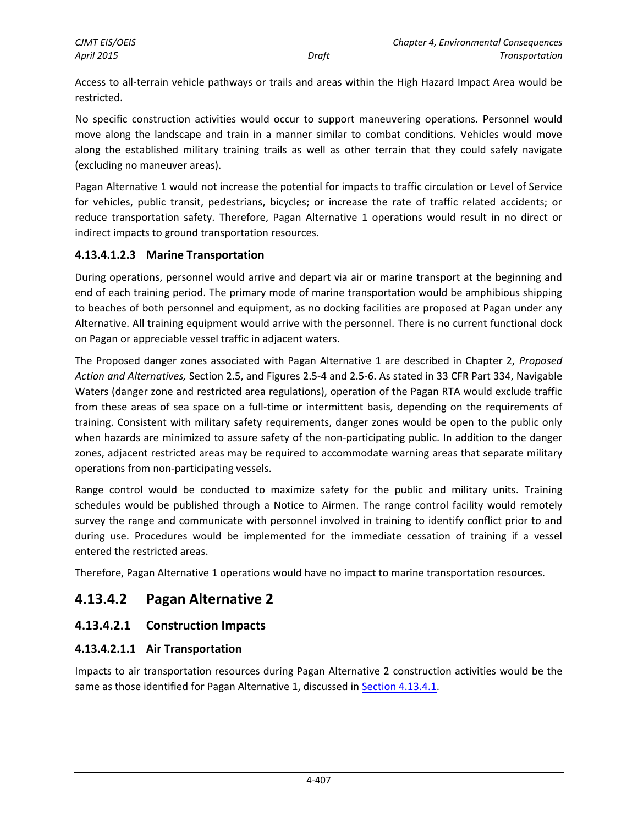Access to all-terrain vehicle pathways or trails and areas within the High Hazard Impact Area would be restricted.

No specific construction activities would occur to support maneuvering operations. Personnel would move along the landscape and train in a manner similar to combat conditions. Vehicles would move along the established military training trails as well as other terrain that they could safely navigate (excluding no maneuver areas).

Pagan Alternative 1 would not increase the potential for impacts to traffic circulation or Level of Service for vehicles, public transit, pedestrians, bicycles; or increase the rate of traffic related accidents; or reduce transportation safety. Therefore, Pagan Alternative 1 operations would result in no direct or indirect impacts to ground transportation resources.

#### **4.13.4.1.2.3 Marine Transportation**

During operations, personnel would arrive and depart via air or marine transport at the beginning and end of each training period. The primary mode of marine transportation would be amphibious shipping to beaches of both personnel and equipment, as no docking facilities are proposed at Pagan under any Alternative. All training equipment would arrive with the personnel. There is no current functional dock on Pagan or appreciable vessel traffic in adjacent waters.

The Proposed danger zones associated with Pagan Alternative 1 are described in Chapter 2, *Proposed Action and Alternatives,* Section 2.5, and Figures 2.5-4 and 2.5-6. As stated in 33 CFR Part 334, Navigable Waters (danger zone and restricted area regulations), operation of the Pagan RTA would exclude traffic from these areas of sea space on a full-time or intermittent basis, depending on the requirements of training. Consistent with military safety requirements, danger zones would be open to the public only when hazards are minimized to assure safety of the non-participating public. In addition to the danger zones, adjacent restricted areas may be required to accommodate warning areas that separate military operations from non-participating vessels.

Range control would be conducted to maximize safety for the public and military units. Training schedules would be published through a Notice to Airmen. The range control facility would remotely survey the range and communicate with personnel involved in training to identify conflict prior to and during use. Procedures would be implemented for the immediate cessation of training if a vessel entered the restricted areas.

Therefore, Pagan Alternative 1 operations would have no impact to marine transportation resources.

# **4.13.4.2 Pagan Alternative 2**

## **4.13.4.2.1 Construction Impacts**

## **4.13.4.2.1.1 Air Transportation**

Impacts to air transportation resources during Pagan Alternative 2 construction activities would be the same as those identified for Pagan Alternative 1, discussed in [Section 4.13.4.1.](#page-20-0)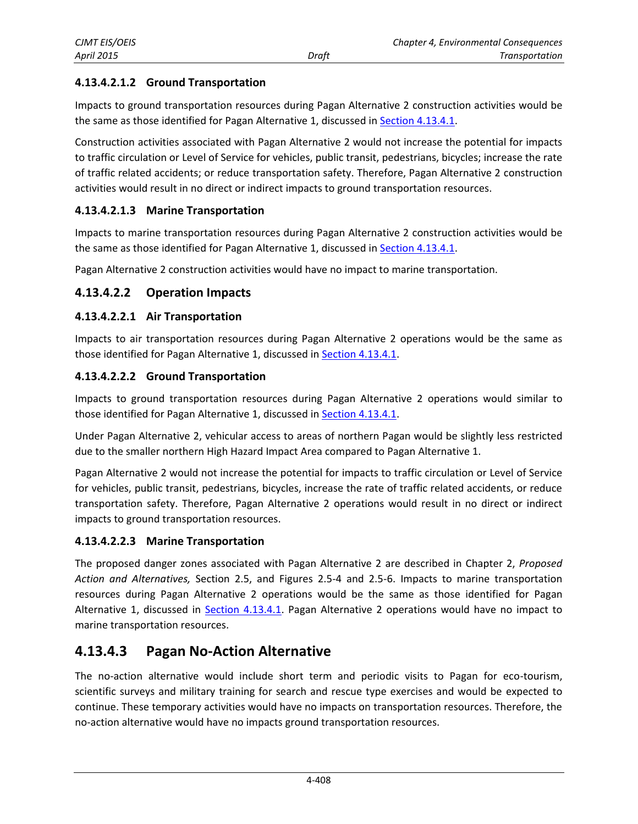## **4.13.4.2.1.2 Ground Transportation**

Impacts to ground transportation resources during Pagan Alternative 2 construction activities would be the same as those identified for Pagan Alternative 1, discussed in [Section 4.13.4.1.](#page-20-0)

Construction activities associated with Pagan Alternative 2 would not increase the potential for impacts to traffic circulation or Level of Service for vehicles, public transit, pedestrians, bicycles; increase the rate of traffic related accidents; or reduce transportation safety. Therefore, Pagan Alternative 2 construction activities would result in no direct or indirect impacts to ground transportation resources.

#### **4.13.4.2.1.3 Marine Transportation**

Impacts to marine transportation resources during Pagan Alternative 2 construction activities would be the same as those identified for Pagan Alternative 1, discussed in [Section 4.13.4.1.](#page-20-0)

Pagan Alternative 2 construction activities would have no impact to marine transportation.

#### **4.13.4.2.2 Operation Impacts**

#### **4.13.4.2.2.1 Air Transportation**

Impacts to air transportation resources during Pagan Alternative 2 operations would be the same as those identified for Pagan Alternative 1, discussed in [Section 4.13.4.1.](#page-20-0)

#### **4.13.4.2.2.2 Ground Transportation**

Impacts to ground transportation resources during Pagan Alternative 2 operations would similar to those identified for Pagan Alternative 1, discussed in **Section 4.13.4.1**.

Under Pagan Alternative 2, vehicular access to areas of northern Pagan would be slightly less restricted due to the smaller northern High Hazard Impact Area compared to Pagan Alternative 1.

Pagan Alternative 2 would not increase the potential for impacts to traffic circulation or Level of Service for vehicles, public transit, pedestrians, bicycles, increase the rate of traffic related accidents, or reduce transportation safety. Therefore, Pagan Alternative 2 operations would result in no direct or indirect impacts to ground transportation resources.

#### **4.13.4.2.2.3 Marine Transportation**

The proposed danger zones associated with Pagan Alternative 2 are described in Chapter 2, *Proposed Action and Alternatives,* Section 2.5, and Figures 2.5-4 and 2.5-6. Impacts to marine transportation resources during Pagan Alternative 2 operations would be the same as those identified for Pagan Alternative 1, discussed in [Section 4.13.4.1.](#page-20-0) Pagan Alternative 2 operations would have no impact to marine transportation resources.

## **4.13.4.3 Pagan No-Action Alternative**

The no-action alternative would include short term and periodic visits to Pagan for eco-tourism, scientific surveys and military training for search and rescue type exercises and would be expected to continue. These temporary activities would have no impacts on transportation resources. Therefore, the no-action alternative would have no impacts ground transportation resources.